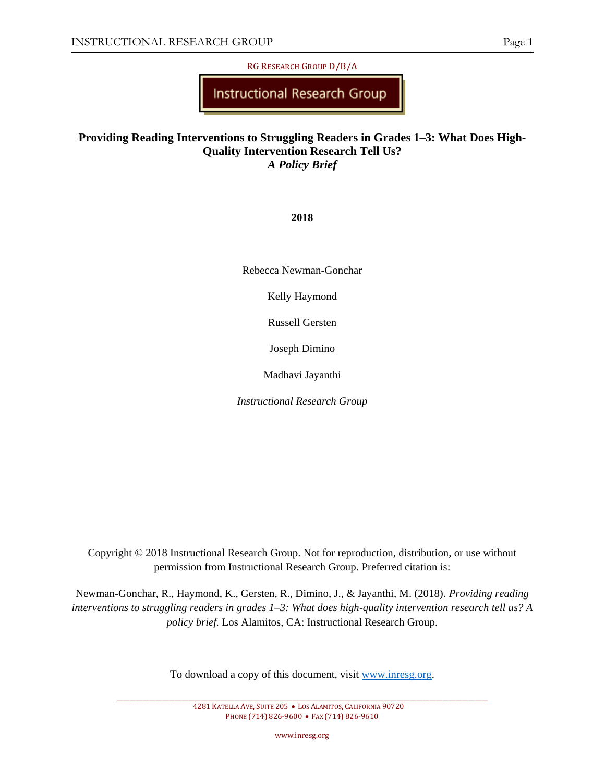RG RESEARCH GROUP D/B/A

Instructional Research Group

# **Providing Reading Interventions to Struggling Readers in Grades 1–3: What Does High-Quality Intervention Research Tell Us?** *A Policy Brief*

**2018**

Rebecca Newman-Gonchar

Kelly Haymond

Russell Gersten

Joseph Dimino

Madhavi Jayanthi

*Instructional Research Group*

Copyright © 2018 Instructional Research Group. Not for reproduction, distribution, or use without permission from Instructional Research Group. Preferred citation is:

Newman-Gonchar, R., Haymond, K., Gersten, R., Dimino, J., & Jayanthi, M. (2018). *Providing reading interventions to struggling readers in grades 1–3: What does high-quality intervention research tell us? A policy brief.* Los Alamitos, CA: Instructional Research Group.

To download a copy of this document, visit [www.inresg.org.](http://www.inresg.org/)

4281 KATELLA AVE, SUITE 205 • LOS ALAMITOS, CALIFORNIA 90720 PHONE (714) 826-9600 • FAX (714) 826-9610

www.inresg.org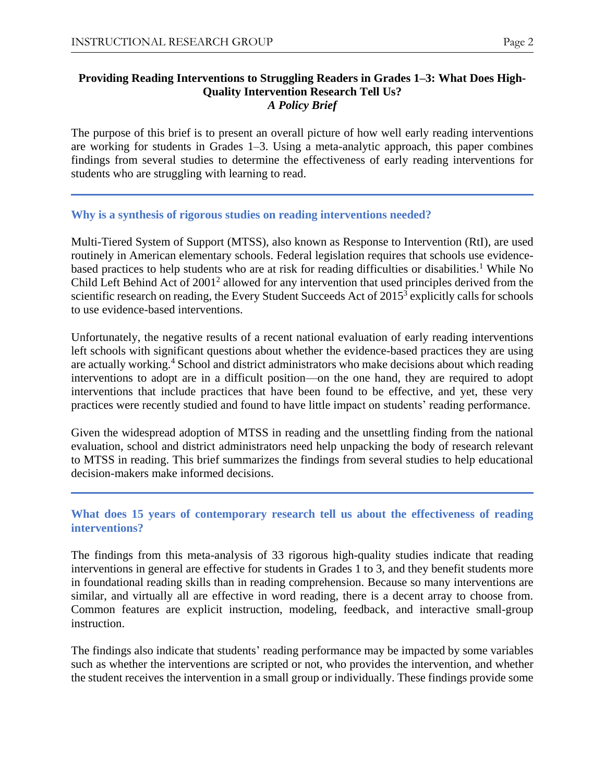#### **Providing Reading Interventions to Struggling Readers in Grades 1–3: What Does High-Quality Intervention Research Tell Us?** *A Policy Brief*

The purpose of this brief is to present an overall picture of how well early reading interventions are working for students in Grades 1–3. Using a meta-analytic approach, this paper combines findings from several studies to determine the effectiveness of early reading interventions for students who are struggling with learning to read.

## **Why is a synthesis of rigorous studies on reading interventions needed?**

Multi-Tiered System of Support (MTSS), also known as Response to Intervention (RtI), are used routinely in American elementary schools. Federal legislation requires that schools use evidencebased practices to help students who are at risk for reading difficulties or disabilities.<sup>1</sup> While No Child Left Behind Act of 2001<sup>2</sup> allowed for any intervention that used principles derived from the scientific research on reading, the Every Student Succeeds Act of 2015<sup>3</sup> explicitly calls for schools to use evidence-based interventions.

Unfortunately, the negative results of a recent national evaluation of early reading interventions left schools with significant questions about whether the evidence-based practices they are using are actually working.<sup>4</sup> School and district administrators who make decisions about which reading interventions to adopt are in a difficult position—on the one hand, they are required to adopt interventions that include practices that have been found to be effective, and yet, these very practices were recently studied and found to have little impact on students' reading performance.

Given the widespread adoption of MTSS in reading and the unsettling finding from the national evaluation, school and district administrators need help unpacking the body of research relevant to MTSS in reading. This brief summarizes the findings from several studies to help educational decision-makers make informed decisions.

## **What does 15 years of contemporary research tell us about the effectiveness of reading interventions?**

The findings from this meta-analysis of 33 rigorous high-quality studies indicate that reading interventions in general are effective for students in Grades 1 to 3, and they benefit students more in foundational reading skills than in reading comprehension. Because so many interventions are similar, and virtually all are effective in word reading, there is a decent array to choose from. Common features are explicit instruction, modeling, feedback, and interactive small-group instruction.

The findings also indicate that students' reading performance may be impacted by some variables such as whether the interventions are scripted or not, who provides the intervention, and whether the student receives the intervention in a small group or individually. These findings provide some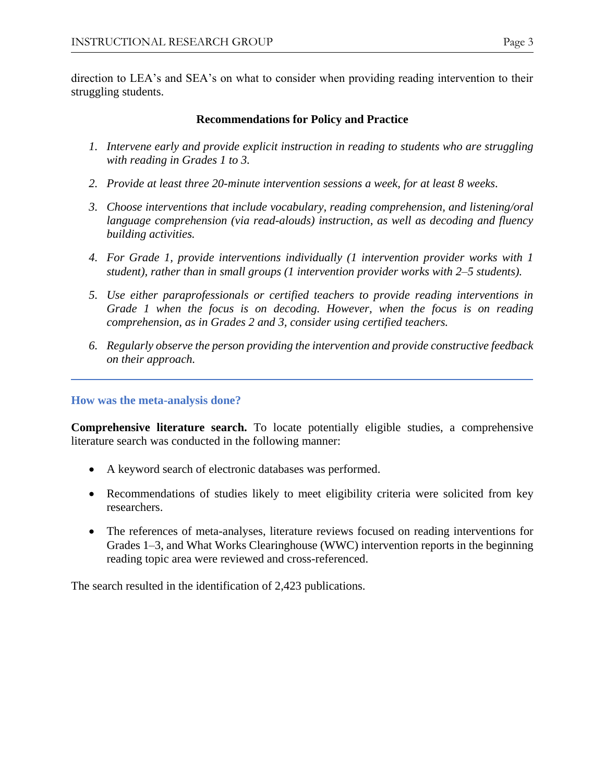direction to LEA's and SEA's on what to consider when providing reading intervention to their struggling students.

# **Recommendations for Policy and Practice**

- *1. Intervene early and provide explicit instruction in reading to students who are struggling with reading in Grades 1 to 3.*
- *2. Provide at least three 20-minute intervention sessions a week, for at least 8 weeks.*
- *3. Choose interventions that include vocabulary, reading comprehension, and listening/oral language comprehension (via read-alouds) instruction, as well as decoding and fluency building activities.*
- *4. For Grade 1, provide interventions individually (1 intervention provider works with 1 student), rather than in small groups (1 intervention provider works with 2–5 students).*
- *5. Use either paraprofessionals or certified teachers to provide reading interventions in Grade 1 when the focus is on decoding. However, when the focus is on reading comprehension, as in Grades 2 and 3, consider using certified teachers.*
- *6. Regularly observe the person providing the intervention and provide constructive feedback on their approach.*

**How was the meta-analysis done?**

**Comprehensive literature search.** To locate potentially eligible studies, a comprehensive literature search was conducted in the following manner:

- A keyword search of electronic databases was performed.
- Recommendations of studies likely to meet eligibility criteria were solicited from key researchers.
- The references of meta-analyses, literature reviews focused on reading interventions for Grades 1–3, and What Works Clearinghouse (WWC) intervention reports in the beginning reading topic area were reviewed and cross-referenced.

The search resulted in the identification of 2,423 publications.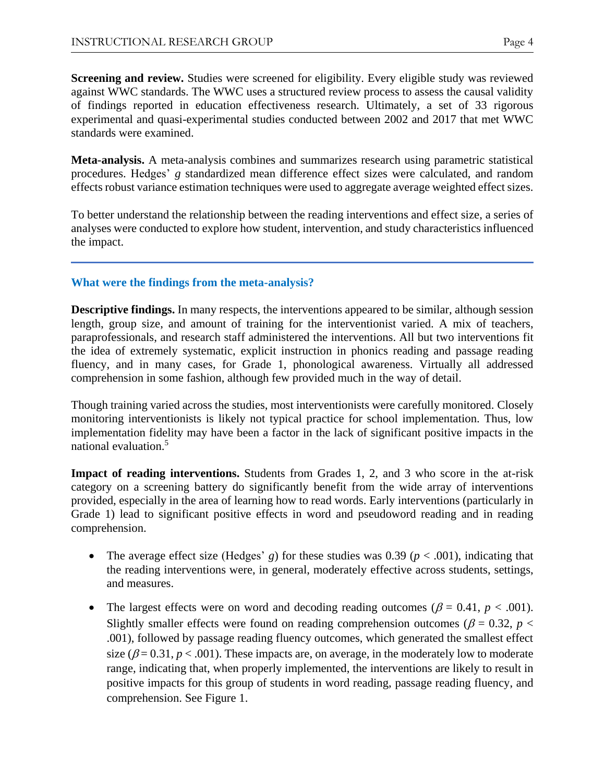**Screening and review.** Studies were screened for eligibility. Every eligible study was reviewed against WWC standards. The WWC uses a structured review process to assess the causal validity of findings reported in education effectiveness research. Ultimately, a set of 33 rigorous experimental and quasi-experimental studies conducted between 2002 and 2017 that met WWC standards were examined.

**Meta-analysis.** A meta-analysis combines and summarizes research using parametric statistical procedures. Hedges' *g* standardized mean difference effect sizes were calculated, and random effects robust variance estimation techniques were used to aggregate average weighted effect sizes.

To better understand the relationship between the reading interventions and effect size, a series of analyses were conducted to explore how student, intervention, and study characteristics influenced the impact.

# **What were the findings from the meta-analysis?**

**Descriptive findings.** In many respects, the interventions appeared to be similar, although session length, group size, and amount of training for the interventionist varied. A mix of teachers, paraprofessionals, and research staff administered the interventions. All but two interventions fit the idea of extremely systematic, explicit instruction in phonics reading and passage reading fluency, and in many cases, for Grade 1, phonological awareness. Virtually all addressed comprehension in some fashion, although few provided much in the way of detail.

Though training varied across the studies, most interventionists were carefully monitored. Closely monitoring interventionists is likely not typical practice for school implementation. Thus, low implementation fidelity may have been a factor in the lack of significant positive impacts in the national evaluation.<sup>5</sup>

**Impact of reading interventions.** Students from Grades 1, 2, and 3 who score in the at-risk category on a screening battery do significantly benefit from the wide array of interventions provided, especially in the area of learning how to read words. Early interventions (particularly in Grade 1) lead to significant positive effects in word and pseudoword reading and in reading comprehension.

- The average effect size (Hedges' *g*) for these studies was 0.39 ( $p < .001$ ), indicating that the reading interventions were, in general, moderately effective across students, settings, and measures.
- The largest effects were on word and decoding reading outcomes ( $\beta = 0.41$ ,  $p < .001$ ). Slightly smaller effects were found on reading comprehension outcomes ( $\beta$  = 0.32, *p* < .001), followed by passage reading fluency outcomes, which generated the smallest effect size ( $\beta$  = 0.31,  $p$  < .001). These impacts are, on average, in the moderately low to moderate range, indicating that, when properly implemented, the interventions are likely to result in positive impacts for this group of students in word reading, passage reading fluency, and comprehension. See Figure 1.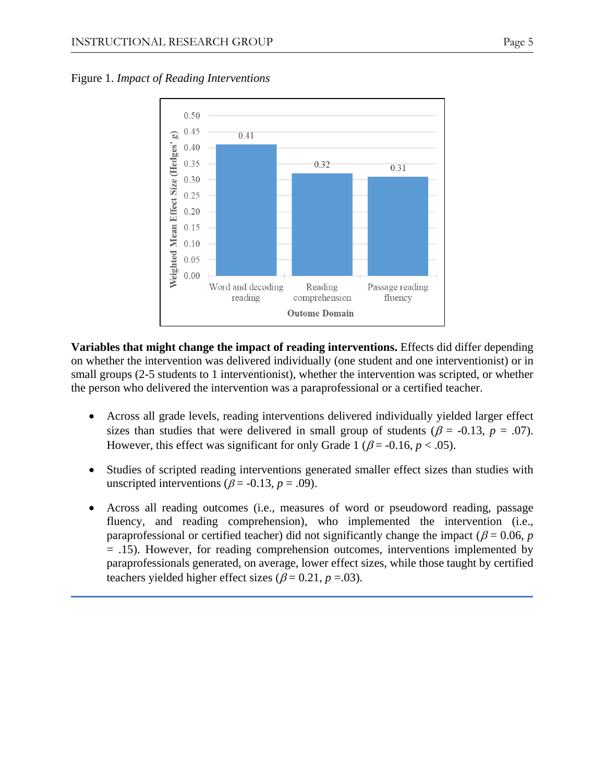

Figure 1. *Impact of Reading Interventions*

**Variables that might change the impact of reading interventions.** Effects did differ depending on whether the intervention was delivered individually (one student and one interventionist) or in small groups (2-5 students to 1 interventionist), whether the intervention was scripted, or whether the person who delivered the intervention was a paraprofessional or a certified teacher.

- Across all grade levels, reading interventions delivered individually yielded larger effect sizes than studies that were delivered in small group of students ( $\beta$  = -0.13, *p* = .07). However, this effect was significant for only Grade 1 ( $\beta$  = -0.16,  $p < .05$ ).
- Studies of scripted reading interventions generated smaller effect sizes than studies with unscripted interventions ( $\beta$  = -0.13,  $p$  = .09).
- Across all reading outcomes (i.e., measures of word or pseudoword reading, passage fluency, and reading comprehension), who implemented the intervention (i.e., paraprofessional or certified teacher) did not significantly change the impact ( $\beta$  = 0.06, *p* = .15). However, for reading comprehension outcomes, interventions implemented by paraprofessionals generated, on average, lower effect sizes, while those taught by certified teachers yielded higher effect sizes ( $\beta$  = 0.21, *p* = 0.3).